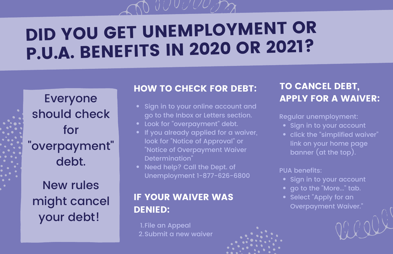# DID YOU GET UNEMPLOYMENT OR

P.U.A. BENEFITS IN <sup>2020</sup> OR 2021?

# Everyone should check for "overpayment" debt.

New rules might cancel your debt!

# HOW TO CHECK FOR DEBT:

- Sign in to your online account and go to the Inbox or Letters section.
- Look for "overpayment" debt.
- If you already applied for a waiver, look for "Notice of Approval" or "Notice of Overpayment Waiver Determination"
- Need help? Call the Dept. of Unemployment 1-877-626-6800

# IF YOUR WAIVER WAS DENIED:

1.File an Appeal 2.Submit a new waiver

# TO CANCEL DEBT, APPLY FOR A WAIVER:

Regular unemployment:

- Sign in to your account
- click the "simplified waiver" link on your home page banner (at the top).

#### PUA benefits:

- Sign in to your account
- go to the "More..." tab.
- Select "Apply for an Overpayment Waiver."